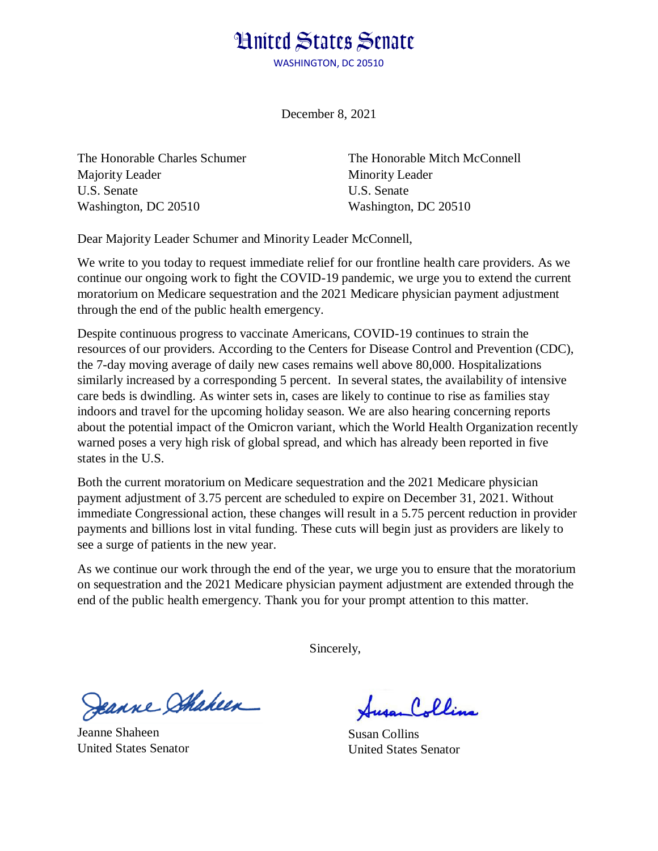## **Hnited States Senate**

WASHINGTON, DC 20510

December 8, 2021

The Honorable Charles Schumer Majority Leader U.S. Senate Washington, DC 20510

The Honorable Mitch McConnell Minority Leader U.S. Senate Washington, DC 20510

Dear Majority Leader Schumer and Minority Leader McConnell,

We write to you today to request immediate relief for our frontline health care providers. As we continue our ongoing work to fight the COVID-19 pandemic, we urge you to extend the current moratorium on Medicare sequestration and the 2021 Medicare physician payment adjustment through the end of the public health emergency.

Despite continuous progress to vaccinate Americans, COVID-19 continues to strain the resources of our providers. According to the Centers for Disease Control and Prevention (CDC), the 7-day moving average of daily new cases remains well above 80,000. Hospitalizations similarly increased by a corresponding 5 percent. In several states, the availability of intensive care beds is dwindling. As winter sets in, cases are likely to continue to rise as families stay indoors and travel for the upcoming holiday season. We are also hearing concerning reports about the potential impact of the Omicron variant, which the World Health Organization recently warned poses a very high risk of global spread, and which has already been reported in five states in the U.S.

Both the current moratorium on Medicare sequestration and the 2021 Medicare physician payment adjustment of 3.75 percent are scheduled to expire on December 31, 2021. Without immediate Congressional action, these changes will result in a 5.75 percent reduction in provider payments and billions lost in vital funding. These cuts will begin just as providers are likely to see a surge of patients in the new year.

As we continue our work through the end of the year, we urge you to ensure that the moratorium on sequestration and the 2021 Medicare physician payment adjustment are extended through the end of the public health emergency. Thank you for your prompt attention to this matter.

Sincerely,

Jeanne Shaheen

Jeanne Shaheen United States Senator

Collins

Susan Collins United States Senator